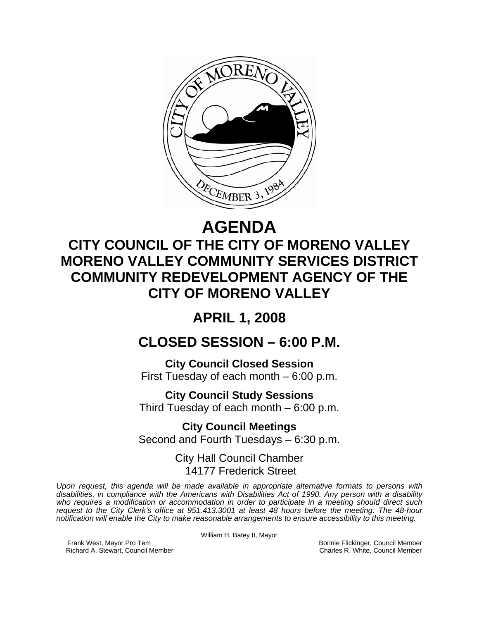

# **AGENDA**

# **CITY COUNCIL OF THE CITY OF MORENO VALLEY MORENO VALLEY COMMUNITY SERVICES DISTRICT COMMUNITY REDEVELOPMENT AGENCY OF THE CITY OF MORENO VALLEY**

# **APRIL 1, 2008**

# **CLOSED SESSION – 6:00 P.M.**

**City Council Closed Session**  First Tuesday of each month – 6:00 p.m.

**City Council Study Sessions**  Third Tuesday of each month – 6:00 p.m.

**City Council Meetings**  Second and Fourth Tuesdays – 6:30 p.m.

> City Hall Council Chamber 14177 Frederick Street

*Upon request, this agenda will be made available in appropriate alternative formats to persons with disabilities, in compliance with the Americans with Disabilities Act of 1990. Any person with a disability who requires a modification or accommodation in order to participate in a meeting should direct such request to the City Clerk's office at 951.413.3001 at least 48 hours before the meeting. The 48-hour notification will enable the City to make reasonable arrangements to ensure accessibility to this meeting.* 

William H. Batey II, Mayor

Frank West, Mayor Pro Tem Bonnie Flickinger, Council Member<br>Richard A. Stewart, Council Member **Bonnie Flickinger, Council Member** Charles R. White, Council Member Richard A. Stewart, Council Member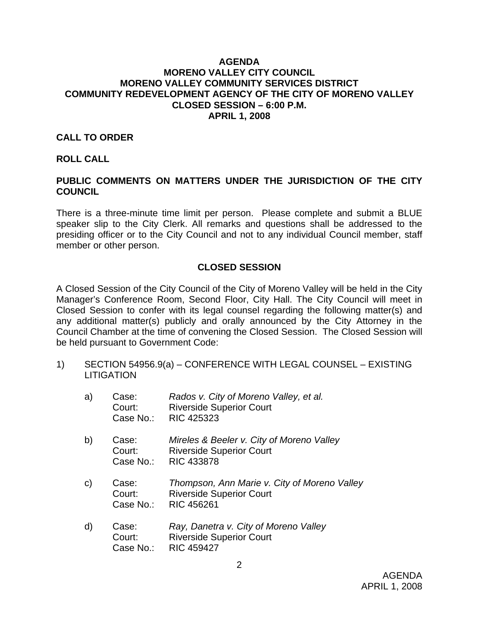#### **AGENDA MORENO VALLEY CITY COUNCIL MORENO VALLEY COMMUNITY SERVICES DISTRICT COMMUNITY REDEVELOPMENT AGENCY OF THE CITY OF MORENO VALLEY CLOSED SESSION – 6:00 P.M. APRIL 1, 2008**

#### **CALL TO ORDER**

#### **ROLL CALL**

### **PUBLIC COMMENTS ON MATTERS UNDER THE JURISDICTION OF THE CITY COUNCIL**

There is a three-minute time limit per person. Please complete and submit a BLUE speaker slip to the City Clerk. All remarks and questions shall be addressed to the presiding officer or to the City Council and not to any individual Council member, staff member or other person.

#### **CLOSED SESSION**

A Closed Session of the City Council of the City of Moreno Valley will be held in the City Manager's Conference Room, Second Floor, City Hall. The City Council will meet in Closed Session to confer with its legal counsel regarding the following matter(s) and any additional matter(s) publicly and orally announced by the City Attorney in the Council Chamber at the time of convening the Closed Session. The Closed Session will be held pursuant to Government Code:

1) SECTION 54956.9(a) – CONFERENCE WITH LEGAL COUNSEL – EXISTING **LITIGATION** 

| a)           | Case:<br>Court:<br>Case No.: | Rados v. City of Moreno Valley, et al.<br><b>Riverside Superior Court</b><br><b>RIC 425323</b>       |
|--------------|------------------------------|------------------------------------------------------------------------------------------------------|
| b)           | Case:<br>Court:<br>Case No.: | Mireles & Beeler v. City of Moreno Valley<br><b>Riverside Superior Court</b><br><b>RIC 433878</b>    |
| $\mathsf{C}$ | Case:<br>Court:<br>Case No.: | Thompson, Ann Marie v. City of Moreno Valley<br><b>Riverside Superior Court</b><br><b>RIC 456261</b> |
| d)           | Case:<br>Court:<br>Case No.: | Ray, Danetra v. City of Moreno Valley<br><b>Riverside Superior Court</b><br><b>RIC 459427</b>        |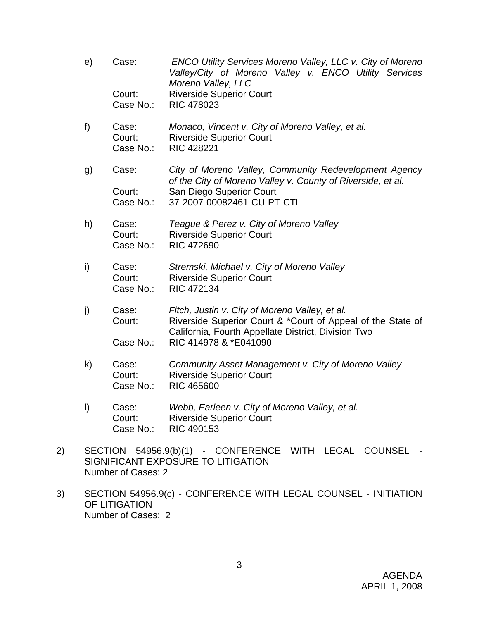- e) Case: *ENCO Utility Services Moreno Valley, LLC v. City of Moreno Valley/City of Moreno Valley v. ENCO Utility Services Moreno Valley, LLC* Court: Riverside Superior Court Case No.: RIC 478023
- f) Case: *Monaco, Vincent v. City of Moreno Valley, et al.*  Court: Riverside Superior Court Case No.: RIC 428221
- g) Case: *City of Moreno Valley, Community Redevelopment Agency of the City of Moreno Valley v. County of Riverside, et al.*  Court: San Diego Superior Court Case No.: 37-2007-00082461-CU-PT-CTL
- h) Case: *Teague & Perez v. City of Moreno Valley*  Court: Riverside Superior Court Case No.: RIC 472690
- i) Case: *Stremski, Michael v. City of Moreno Valley* Court: Riverside Superior Court Case No.: RIC 472134
- j) Case: *Fitch, Justin v. City of Moreno Valley, et al.*  Court: Riverside Superior Court & \*Court of Appeal of the State of California, Fourth Appellate District, Division Two Case No.: RIC 414978 & \*E041090
- k) Case: *Community Asset Management v. City of Moreno Valley*  Court: Riverside Superior Court Case No.: RIC 465600
- l) Case: *Webb, Earleen v. City of Moreno Valley, et al.*  Court: Riverside Superior Court Case No.: RIC 490153
- 2) SECTION 54956.9(b)(1) CONFERENCE WITH LEGAL COUNSEL SIGNIFICANT EXPOSURE TO LITIGATION Number of Cases: 2
- 3) SECTION 54956.9(c) CONFERENCE WITH LEGAL COUNSEL INITIATION OF LITIGATION Number of Cases: 2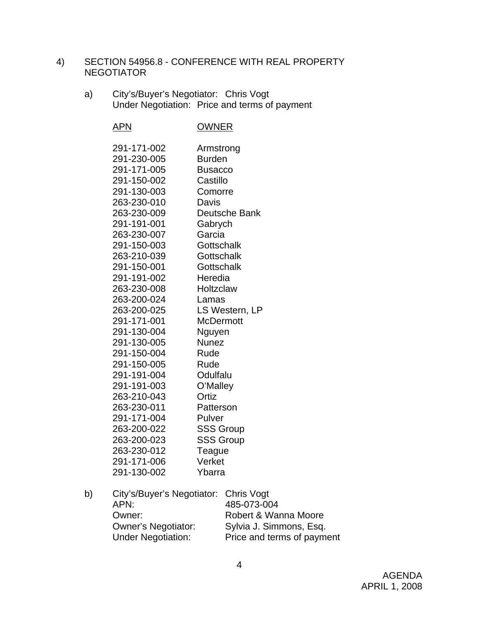### 4) SECTION 54956.8 - CONFERENCE WITH REAL PROPERTY **NEGOTIATOR**

a) City's/Buyer's Negotiator: Chris Vogt Under Negotiation: Price and terms of payment

## APN OWNER

| 291-171-002 | Armstrong            |
|-------------|----------------------|
| 291-230-005 | <b>Burden</b>        |
| 291-171-005 | <b>Busacco</b>       |
| 291-150-002 | Castillo             |
| 291-130-003 | Comorre              |
| 263-230-010 | Davis                |
| 263-230-009 | <b>Deutsche Bank</b> |
| 291-191-001 | Gabrych              |
| 263-230-007 | Garcia               |
| 291-150-003 | Gottschalk           |
| 263-210-039 | Gottschalk           |
| 291-150-001 | Gottschalk           |
| 291-191-002 | Heredia              |
| 263-230-008 | Holtzclaw            |
| 263-200-024 | Lamas                |
| 263-200-025 | LS Western, LP       |
| 291-171-001 | <b>McDermott</b>     |
| 291-130-004 | Nguyen               |
| 291-130-005 | <b>Nunez</b>         |
| 291-150-004 | Rude                 |
| 291-150-005 | Rude                 |
| 291-191-004 | Odulfalu             |
| 291-191-003 | O'Malley             |
| 263-210-043 | Ortiz                |
| 263-230-011 | Patterson            |
| 291-171-004 | Pulver               |
| 263-200-022 | <b>SSS Group</b>     |
| 263-200-023 | <b>SSS Group</b>     |
| 263-230-012 | Teague               |
| 291-171-006 | Verket               |
| 291-130-002 | Ybarra               |

| b) | City's/Buyer's Negotiator: Chris Vogt |                            |
|----|---------------------------------------|----------------------------|
|    | APN:                                  | 485-073-004                |
|    | Owner:                                | Robert & Wanna Moore       |
|    | <b>Owner's Negotiator:</b>            | Sylvia J. Simmons, Esq.    |
|    | <b>Under Negotiation:</b>             | Price and terms of payment |